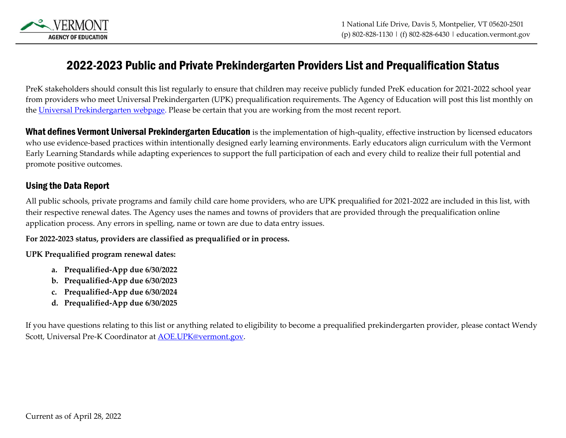

## 2022-2023 Public and Private Prekindergarten Providers List and Prequalification Status

PreK stakeholders should consult this list regularly to ensure that children may receive publicly funded PreK education for 2021-2022 school year from providers who meet Universal Prekindergarten (UPK) prequalification requirements. The Agency of Education will post this list monthly on the [Universal Prekindergarten webpage.](https://education.vermont.gov/student-support/early-education/universal-prekindergarten-act-166/program-requirements) Please be certain that you are working from the most recent report.

What defines Vermont Universal Prekindergarten Education is the implementation of high-quality, effective instruction by licensed educators who use evidence-based practices within intentionally designed early learning environments. Early educators align curriculum with the Vermont Early Learning Standards while adapting experiences to support the full participation of each and every child to realize their full potential and promote positive outcomes.

## Using the Data Report

All public schools, private programs and family child care home providers, who are UPK prequalified for 2021-2022 are included in this list, with their respective renewal dates. The Agency uses the names and towns of providers that are provided through the prequalification online application process. Any errors in spelling, name or town are due to data entry issues.

## **For 2022-2023 status, providers are classified as prequalified or in process.**

**UPK Prequalified program renewal dates:**

- **a. Prequalified-App due 6/30/2022**
- **b. Prequalified-App due 6/30/2023**
- **c. Prequalified-App due 6/30/2024**
- **d. Prequalified-App due 6/30/2025**

If you have questions relating to this list or anything related to eligibility to become a prequalified prekindergarten provider, please contact Wendy Scott, Universal Pre-K Coordinator a[t AOE.UPK@vermont.gov.](mailto:AOE.UPK@vermont.gov)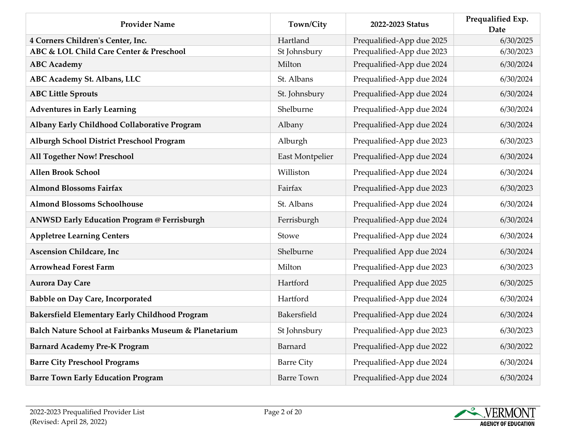| <b>Provider Name</b>                                  | Town/City         | 2022-2023 Status          | Prequalified Exp.<br>Date |
|-------------------------------------------------------|-------------------|---------------------------|---------------------------|
| 4 Corners Children's Center, Inc.                     | Hartland          | Prequalified-App due 2025 | 6/30/2025                 |
| ABC & LOL Child Care Center & Preschool               | St Johnsbury      | Prequalified-App due 2023 | 6/30/2023                 |
| <b>ABC</b> Academy                                    | Milton            | Prequalified-App due 2024 | 6/30/2024                 |
| ABC Academy St. Albans, LLC                           | St. Albans        | Prequalified-App due 2024 | 6/30/2024                 |
| <b>ABC Little Sprouts</b>                             | St. Johnsbury     | Prequalified-App due 2024 | 6/30/2024                 |
| <b>Adventures in Early Learning</b>                   | Shelburne         | Prequalified-App due 2024 | 6/30/2024                 |
| Albany Early Childhood Collaborative Program          | Albany            | Prequalified-App due 2024 | 6/30/2024                 |
| Alburgh School District Preschool Program             | Alburgh           | Prequalified-App due 2023 | 6/30/2023                 |
| <b>All Together Now! Preschool</b>                    | East Montpelier   | Prequalified-App due 2024 | 6/30/2024                 |
| <b>Allen Brook School</b>                             | Williston         | Prequalified-App due 2024 | 6/30/2024                 |
| <b>Almond Blossoms Fairfax</b>                        | Fairfax           | Prequalified-App due 2023 | 6/30/2023                 |
| <b>Almond Blossoms Schoolhouse</b>                    | St. Albans        | Prequalified-App due 2024 | 6/30/2024                 |
| <b>ANWSD Early Education Program @ Ferrisburgh</b>    | Ferrisburgh       | Prequalified-App due 2024 | 6/30/2024                 |
| <b>Appletree Learning Centers</b>                     | Stowe             | Prequalified-App due 2024 | 6/30/2024                 |
| <b>Ascension Childcare, Inc</b>                       | Shelburne         | Prequalified App due 2024 | 6/30/2024                 |
| <b>Arrowhead Forest Farm</b>                          | Milton            | Prequalified-App due 2023 | 6/30/2023                 |
| <b>Aurora Day Care</b>                                | Hartford          | Prequalified App due 2025 | 6/30/2025                 |
| <b>Babble on Day Care, Incorporated</b>               | Hartford          | Prequalified-App due 2024 | 6/30/2024                 |
| <b>Bakersfield Elementary Early Childhood Program</b> | Bakersfield       | Prequalified-App due 2024 | 6/30/2024                 |
| Balch Nature School at Fairbanks Museum & Planetarium | St Johnsbury      | Prequalified-App due 2023 | 6/30/2023                 |
| <b>Barnard Academy Pre-K Program</b>                  | Barnard           | Prequalified-App due 2022 | 6/30/2022                 |
| <b>Barre City Preschool Programs</b>                  | <b>Barre City</b> | Prequalified-App due 2024 | 6/30/2024                 |
| <b>Barre Town Early Education Program</b>             | <b>Barre Town</b> | Prequalified-App due 2024 | 6/30/2024                 |

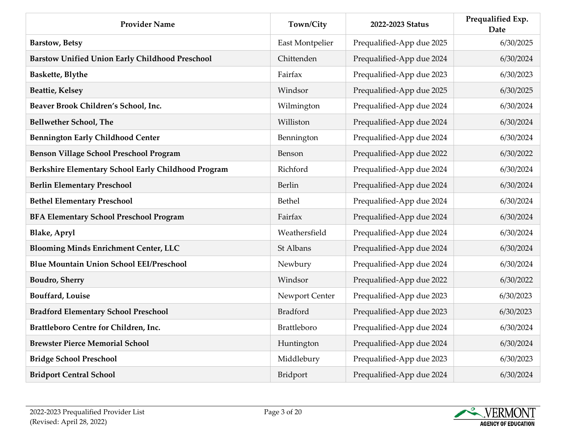| <b>Provider Name</b>                                   | Town/City       | 2022-2023 Status          | Prequalified Exp.<br><b>Date</b> |
|--------------------------------------------------------|-----------------|---------------------------|----------------------------------|
| <b>Barstow, Betsy</b>                                  | East Montpelier | Prequalified-App due 2025 | 6/30/2025                        |
| <b>Barstow Unified Union Early Childhood Preschool</b> | Chittenden      | Prequalified-App due 2024 | 6/30/2024                        |
| Baskette, Blythe                                       | Fairfax         | Prequalified-App due 2023 | 6/30/2023                        |
| <b>Beattie, Kelsey</b>                                 | Windsor         | Prequalified-App due 2025 | 6/30/2025                        |
| Beaver Brook Children's School, Inc.                   | Wilmington      | Prequalified-App due 2024 | 6/30/2024                        |
| <b>Bellwether School, The</b>                          | Williston       | Prequalified-App due 2024 | 6/30/2024                        |
| <b>Bennington Early Childhood Center</b>               | Bennington      | Prequalified-App due 2024 | 6/30/2024                        |
| <b>Benson Village School Preschool Program</b>         | Benson          | Prequalified-App due 2022 | 6/30/2022                        |
| Berkshire Elementary School Early Childhood Program    | Richford        | Prequalified-App due 2024 | 6/30/2024                        |
| <b>Berlin Elementary Preschool</b>                     | Berlin          | Prequalified-App due 2024 | 6/30/2024                        |
| <b>Bethel Elementary Preschool</b>                     | Bethel          | Prequalified-App due 2024 | 6/30/2024                        |
| <b>BFA Elementary School Preschool Program</b>         | Fairfax         | Prequalified-App due 2024 | 6/30/2024                        |
| <b>Blake, Apryl</b>                                    | Weathersfield   | Prequalified-App due 2024 | 6/30/2024                        |
| <b>Blooming Minds Enrichment Center, LLC</b>           | St Albans       | Prequalified-App due 2024 | 6/30/2024                        |
| <b>Blue Mountain Union School EEI/Preschool</b>        | Newbury         | Prequalified-App due 2024 | 6/30/2024                        |
| <b>Boudro</b> , Sherry                                 | Windsor         | Prequalified-App due 2022 | 6/30/2022                        |
| <b>Bouffard</b> , Louise                               | Newport Center  | Prequalified-App due 2023 | 6/30/2023                        |
| <b>Bradford Elementary School Preschool</b>            | <b>Bradford</b> | Prequalified-App due 2023 | 6/30/2023                        |
| Brattleboro Centre for Children, Inc.                  | Brattleboro     | Prequalified-App due 2024 | 6/30/2024                        |
| <b>Brewster Pierce Memorial School</b>                 | Huntington      | Prequalified-App due 2024 | 6/30/2024                        |
| <b>Bridge School Preschool</b>                         | Middlebury      | Prequalified-App due 2023 | 6/30/2023                        |
| <b>Bridport Central School</b>                         | Bridport        | Prequalified-App due 2024 | 6/30/2024                        |

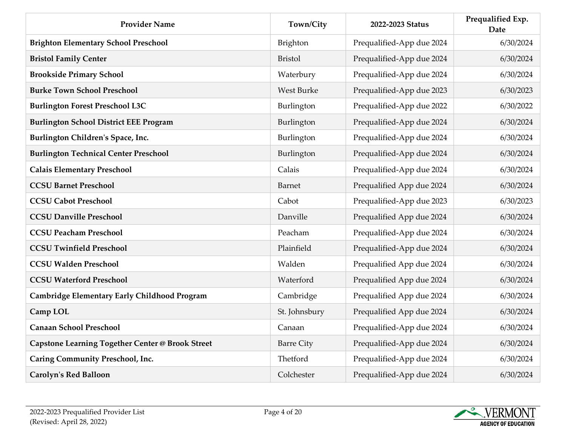| <b>Provider Name</b>                                    | Town/City         | 2022-2023 Status          | Prequalified Exp.<br>Date |
|---------------------------------------------------------|-------------------|---------------------------|---------------------------|
| <b>Brighton Elementary School Preschool</b>             | Brighton          | Prequalified-App due 2024 | 6/30/2024                 |
| <b>Bristol Family Center</b>                            | <b>Bristol</b>    | Prequalified-App due 2024 | 6/30/2024                 |
| <b>Brookside Primary School</b>                         | Waterbury         | Prequalified-App due 2024 | 6/30/2024                 |
| <b>Burke Town School Preschool</b>                      | <b>West Burke</b> | Prequalified-App due 2023 | 6/30/2023                 |
| <b>Burlington Forest Preschool L3C</b>                  | Burlington        | Prequalified-App due 2022 | 6/30/2022                 |
| <b>Burlington School District EEE Program</b>           | Burlington        | Prequalified-App due 2024 | 6/30/2024                 |
| Burlington Children's Space, Inc.                       | Burlington        | Prequalified-App due 2024 | 6/30/2024                 |
| <b>Burlington Technical Center Preschool</b>            | Burlington        | Prequalified-App due 2024 | 6/30/2024                 |
| <b>Calais Elementary Preschool</b>                      | Calais            | Prequalified-App due 2024 | 6/30/2024                 |
| <b>CCSU Barnet Preschool</b>                            | <b>Barnet</b>     | Prequalified App due 2024 | 6/30/2024                 |
| <b>CCSU Cabot Preschool</b>                             | Cabot             | Prequalified-App due 2023 | 6/30/2023                 |
| <b>CCSU Danville Preschool</b>                          | Danville          | Prequalified App due 2024 | 6/30/2024                 |
| <b>CCSU Peacham Preschool</b>                           | Peacham           | Prequalified-App due 2024 | 6/30/2024                 |
| <b>CCSU Twinfield Preschool</b>                         | Plainfield        | Prequalified-App due 2024 | 6/30/2024                 |
| <b>CCSU Walden Preschool</b>                            | Walden            | Prequalified App due 2024 | 6/30/2024                 |
| <b>CCSU Waterford Preschool</b>                         | Waterford         | Prequalified App due 2024 | 6/30/2024                 |
| Cambridge Elementary Early Childhood Program            | Cambridge         | Prequalified App due 2024 | 6/30/2024                 |
| Camp LOL                                                | St. Johnsbury     | Prequalified App due 2024 | 6/30/2024                 |
| <b>Canaan School Preschool</b>                          | Canaan            | Prequalified-App due 2024 | 6/30/2024                 |
| <b>Capstone Learning Together Center @ Brook Street</b> | <b>Barre City</b> | Prequalified-App due 2024 | 6/30/2024                 |
| <b>Caring Community Preschool, Inc.</b>                 | Thetford          | Prequalified-App due 2024 | 6/30/2024                 |
| <b>Carolyn's Red Balloon</b>                            | Colchester        | Prequalified-App due 2024 | 6/30/2024                 |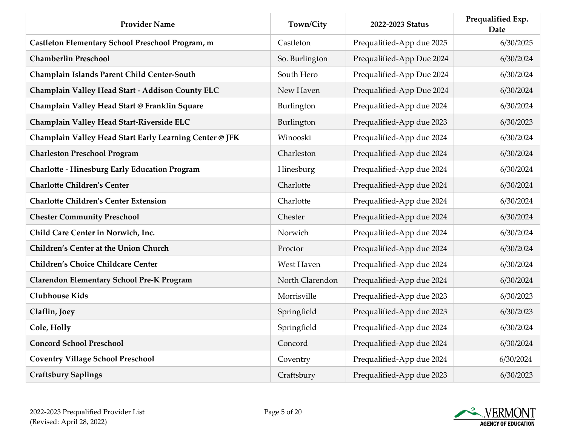| <b>Provider Name</b>                                    | Town/City       | 2022-2023 Status          | Prequalified Exp.<br><b>Date</b> |
|---------------------------------------------------------|-----------------|---------------------------|----------------------------------|
| Castleton Elementary School Preschool Program, m        | Castleton       | Prequalified-App due 2025 | 6/30/2025                        |
| <b>Chamberlin Preschool</b>                             | So. Burlington  | Prequalified-App Due 2024 | 6/30/2024                        |
| Champlain Islands Parent Child Center-South             | South Hero      | Prequalified-App Due 2024 | 6/30/2024                        |
| Champlain Valley Head Start - Addison County ELC        | New Haven       | Prequalified-App Due 2024 | 6/30/2024                        |
| Champlain Valley Head Start @ Franklin Square           | Burlington      | Prequalified-App due 2024 | 6/30/2024                        |
| Champlain Valley Head Start-Riverside ELC               | Burlington      | Prequalified-App due 2023 | 6/30/2023                        |
| Champlain Valley Head Start Early Learning Center @ JFK | Winooski        | Prequalified-App due 2024 | 6/30/2024                        |
| <b>Charleston Preschool Program</b>                     | Charleston      | Prequalified-App due 2024 | 6/30/2024                        |
| <b>Charlotte - Hinesburg Early Education Program</b>    | Hinesburg       | Prequalified-App due 2024 | 6/30/2024                        |
| <b>Charlotte Children's Center</b>                      | Charlotte       | Prequalified-App due 2024 | 6/30/2024                        |
| <b>Charlotte Children's Center Extension</b>            | Charlotte       | Prequalified-App due 2024 | 6/30/2024                        |
| <b>Chester Community Preschool</b>                      | Chester         | Prequalified-App due 2024 | 6/30/2024                        |
| Child Care Center in Norwich, Inc.                      | Norwich         | Prequalified-App due 2024 | 6/30/2024                        |
| <b>Children's Center at the Union Church</b>            | Proctor         | Prequalified-App due 2024 | 6/30/2024                        |
| <b>Children's Choice Childcare Center</b>               | West Haven      | Prequalified-App due 2024 | 6/30/2024                        |
| <b>Clarendon Elementary School Pre-K Program</b>        | North Clarendon | Prequalified-App due 2024 | 6/30/2024                        |
| <b>Clubhouse Kids</b>                                   | Morrisville     | Prequalified-App due 2023 | 6/30/2023                        |
| Claflin, Joey                                           | Springfield     | Prequalified-App due 2023 | 6/30/2023                        |
| Cole, Holly                                             | Springfield     | Prequalified-App due 2024 | 6/30/2024                        |
| <b>Concord School Preschool</b>                         | Concord         | Prequalified-App due 2024 | 6/30/2024                        |
| <b>Coventry Village School Preschool</b>                | Coventry        | Prequalified-App due 2024 | 6/30/2024                        |
| <b>Craftsbury Saplings</b>                              | Craftsbury      | Prequalified-App due 2023 | 6/30/2023                        |

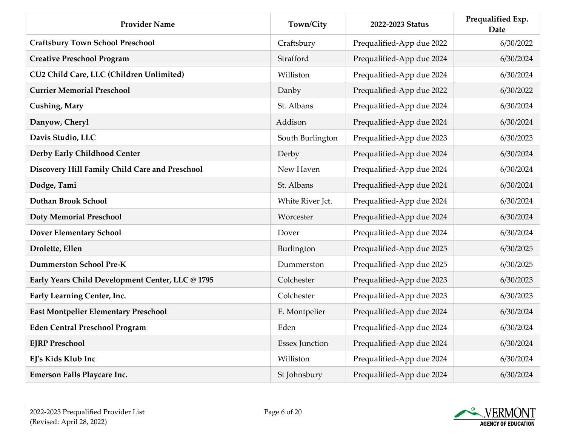| <b>Provider Name</b>                             | Town/City             | 2022-2023 Status          | Prequalified Exp.<br><b>Date</b> |
|--------------------------------------------------|-----------------------|---------------------------|----------------------------------|
| <b>Craftsbury Town School Preschool</b>          | Craftsbury            | Prequalified-App due 2022 | 6/30/2022                        |
| <b>Creative Preschool Program</b>                | Strafford             | Prequalified-App due 2024 | 6/30/2024                        |
| CU2 Child Care, LLC (Children Unlimited)         | Williston             | Prequalified-App due 2024 | 6/30/2024                        |
| <b>Currier Memorial Preschool</b>                | Danby                 | Prequalified-App due 2022 | 6/30/2022                        |
| <b>Cushing, Mary</b>                             | St. Albans            | Prequalified-App due 2024 | 6/30/2024                        |
| Danyow, Cheryl                                   | Addison               | Prequalified-App due 2024 | 6/30/2024                        |
| Davis Studio, LLC                                | South Burlington      | Prequalified-App due 2023 | 6/30/2023                        |
| Derby Early Childhood Center                     | Derby                 | Prequalified-App due 2024 | 6/30/2024                        |
| Discovery Hill Family Child Care and Preschool   | New Haven             | Prequalified-App due 2024 | 6/30/2024                        |
| Dodge, Tami                                      | St. Albans            | Prequalified-App due 2024 | 6/30/2024                        |
| Dothan Brook School                              | White River Jct.      | Prequalified-App due 2024 | 6/30/2024                        |
| <b>Doty Memorial Preschool</b>                   | Worcester             | Prequalified-App due 2024 | 6/30/2024                        |
| <b>Dover Elementary School</b>                   | Dover                 | Prequalified-App due 2024 | 6/30/2024                        |
| Drolette, Ellen                                  | Burlington            | Prequalified-App due 2025 | 6/30/2025                        |
| <b>Dummerston School Pre-K</b>                   | Dummerston            | Prequalified-App due 2025 | 6/30/2025                        |
| Early Years Child Development Center, LLC @ 1795 | Colchester            | Prequalified-App due 2023 | 6/30/2023                        |
| Early Learning Center, Inc.                      | Colchester            | Prequalified-App due 2023 | 6/30/2023                        |
| <b>East Montpelier Elementary Preschool</b>      | E. Montpelier         | Prequalified-App due 2024 | 6/30/2024                        |
| <b>Eden Central Preschool Program</b>            | Eden                  | Prequalified-App due 2024 | 6/30/2024                        |
| <b>EJRP Preschool</b>                            | <b>Essex Junction</b> | Prequalified-App due 2024 | 6/30/2024                        |
| EJ's Kids Klub Inc                               | Williston             | Prequalified-App due 2024 | 6/30/2024                        |
| <b>Emerson Falls Playcare Inc.</b>               | St Johnsbury          | Prequalified-App due 2024 | 6/30/2024                        |

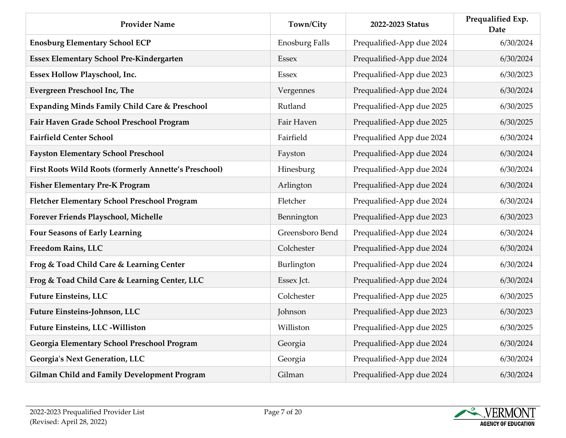| <b>Provider Name</b>                                         | Town/City             | 2022-2023 Status          | Prequalified Exp.<br><b>Date</b> |
|--------------------------------------------------------------|-----------------------|---------------------------|----------------------------------|
| <b>Enosburg Elementary School ECP</b>                        | <b>Enosburg Falls</b> | Prequalified-App due 2024 | 6/30/2024                        |
| <b>Essex Elementary School Pre-Kindergarten</b>              | <b>Essex</b>          | Prequalified-App due 2024 | 6/30/2024                        |
| Essex Hollow Playschool, Inc.                                | Essex                 | Prequalified-App due 2023 | 6/30/2023                        |
| <b>Evergreen Preschool Inc, The</b>                          | Vergennes             | Prequalified-App due 2024 | 6/30/2024                        |
| <b>Expanding Minds Family Child Care &amp; Preschool</b>     | Rutland               | Prequalified-App due 2025 | 6/30/2025                        |
| Fair Haven Grade School Preschool Program                    | Fair Haven            | Prequalified-App due 2025 | 6/30/2025                        |
| <b>Fairfield Center School</b>                               | Fairfield             | Prequalified App due 2024 | 6/30/2024                        |
| <b>Fayston Elementary School Preschool</b>                   | Fayston               | Prequalified-App due 2024 | 6/30/2024                        |
| <b>First Roots Wild Roots (formerly Annette's Preschool)</b> | Hinesburg             | Prequalified-App due 2024 | 6/30/2024                        |
| <b>Fisher Elementary Pre-K Program</b>                       | Arlington             | Prequalified-App due 2024 | 6/30/2024                        |
| Fletcher Elementary School Preschool Program                 | Fletcher              | Prequalified-App due 2024 | 6/30/2024                        |
| Forever Friends Playschool, Michelle                         | Bennington            | Prequalified-App due 2023 | 6/30/2023                        |
| <b>Four Seasons of Early Learning</b>                        | Greensboro Bend       | Prequalified-App due 2024 | 6/30/2024                        |
| Freedom Rains, LLC                                           | Colchester            | Prequalified-App due 2024 | 6/30/2024                        |
| Frog & Toad Child Care & Learning Center                     | Burlington            | Prequalified-App due 2024 | 6/30/2024                        |
| Frog & Toad Child Care & Learning Center, LLC                | Essex Jct.            | Prequalified-App due 2024 | 6/30/2024                        |
| <b>Future Einsteins, LLC</b>                                 | Colchester            | Prequalified-App due 2025 | 6/30/2025                        |
| Future Einsteins-Johnson, LLC                                | Johnson               | Prequalified-App due 2023 | 6/30/2023                        |
| <b>Future Einsteins, LLC -Williston</b>                      | Williston             | Prequalified-App due 2025 | 6/30/2025                        |
| Georgia Elementary School Preschool Program                  | Georgia               | Prequalified-App due 2024 | 6/30/2024                        |
| Georgia's Next Generation, LLC                               | Georgia               | Prequalified-App due 2024 | 6/30/2024                        |
| <b>Gilman Child and Family Development Program</b>           | Gilman                | Prequalified-App due 2024 | 6/30/2024                        |

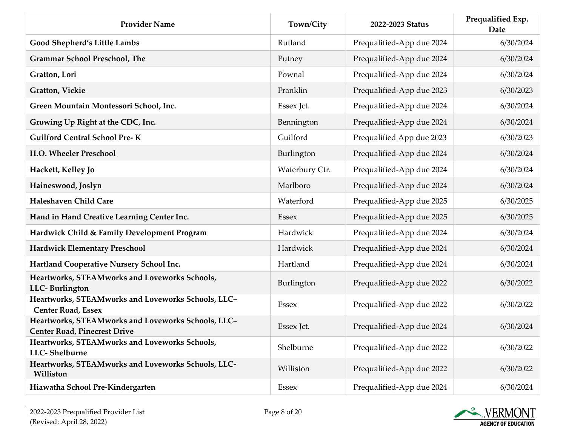| <b>Provider Name</b>                                                                      | Town/City      | 2022-2023 Status          | Prequalified Exp.<br>Date |
|-------------------------------------------------------------------------------------------|----------------|---------------------------|---------------------------|
| Good Shepherd's Little Lambs                                                              | Rutland        | Prequalified-App due 2024 | 6/30/2024                 |
| <b>Grammar School Preschool, The</b>                                                      | Putney         | Prequalified-App due 2024 | 6/30/2024                 |
| Gratton, Lori                                                                             | Pownal         | Prequalified-App due 2024 | 6/30/2024                 |
| Gratton, Vickie                                                                           | Franklin       | Prequalified-App due 2023 | 6/30/2023                 |
| Green Mountain Montessori School, Inc.                                                    | Essex Jct.     | Prequalified-App due 2024 | 6/30/2024                 |
| Growing Up Right at the CDC, Inc.                                                         | Bennington     | Prequalified-App due 2024 | 6/30/2024                 |
| <b>Guilford Central School Pre-K</b>                                                      | Guilford       | Prequalified App due 2023 | 6/30/2023                 |
| <b>H.O. Wheeler Preschool</b>                                                             | Burlington     | Prequalified-App due 2024 | 6/30/2024                 |
| Hackett, Kelley Jo                                                                        | Waterbury Ctr. | Prequalified-App due 2024 | 6/30/2024                 |
| Haineswood, Joslyn                                                                        | Marlboro       | Prequalified-App due 2024 | 6/30/2024                 |
| <b>Haleshaven Child Care</b>                                                              | Waterford      | Prequalified-App due 2025 | 6/30/2025                 |
| Hand in Hand Creative Learning Center Inc.                                                | <b>Essex</b>   | Prequalified-App due 2025 | 6/30/2025                 |
| Hardwick Child & Family Development Program                                               | Hardwick       | Prequalified-App due 2024 | 6/30/2024                 |
| <b>Hardwick Elementary Preschool</b>                                                      | Hardwick       | Prequalified-App due 2024 | 6/30/2024                 |
| Hartland Cooperative Nursery School Inc.                                                  | Hartland       | Prequalified-App due 2024 | 6/30/2024                 |
| Heartworks, STEAMworks and Loveworks Schools,<br>LLC-Burlington                           | Burlington     | Prequalified-App due 2022 | 6/30/2022                 |
| Heartworks, STEAMworks and Loveworks Schools, LLC-<br><b>Center Road, Essex</b>           | <b>Essex</b>   | Prequalified-App due 2022 | 6/30/2022                 |
| Heartworks, STEAMworks and Loveworks Schools, LLC-<br><b>Center Road, Pinecrest Drive</b> | Essex Jct.     | Prequalified-App due 2024 | 6/30/2024                 |
| Heartworks, STEAMworks and Loveworks Schools,<br>LLC-Shelburne                            | Shelburne      | Prequalified-App due 2022 | 6/30/2022                 |
| Heartworks, STEAMworks and Loveworks Schools, LLC-<br>Williston                           | Williston      | Prequalified-App due 2022 | 6/30/2022                 |
| Hiawatha School Pre-Kindergarten                                                          | <b>Essex</b>   | Prequalified-App due 2024 | 6/30/2024                 |

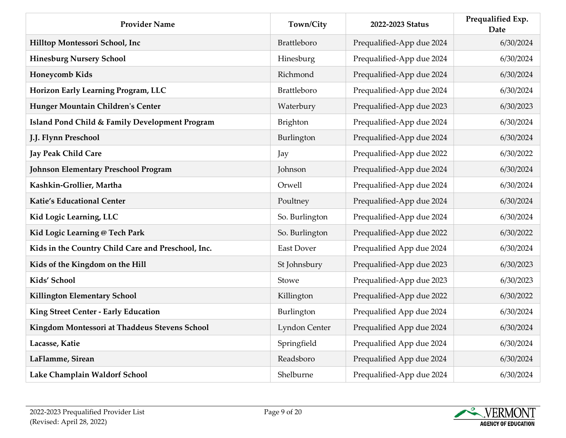| <b>Provider Name</b>                               | Town/City      | 2022-2023 Status          | Prequalified Exp.<br>Date |
|----------------------------------------------------|----------------|---------------------------|---------------------------|
| Hilltop Montessori School, Inc                     | Brattleboro    | Prequalified-App due 2024 | 6/30/2024                 |
| <b>Hinesburg Nursery School</b>                    | Hinesburg      | Prequalified-App due 2024 | 6/30/2024                 |
| Honeycomb Kids                                     | Richmond       | Prequalified-App due 2024 | 6/30/2024                 |
| Horizon Early Learning Program, LLC                | Brattleboro    | Prequalified-App due 2024 | 6/30/2024                 |
| Hunger Mountain Children's Center                  | Waterbury      | Prequalified-App due 2023 | 6/30/2023                 |
| Island Pond Child & Family Development Program     | Brighton       | Prequalified-App due 2024 | 6/30/2024                 |
| J.J. Flynn Preschool                               | Burlington     | Prequalified-App due 2024 | 6/30/2024                 |
| <b>Jay Peak Child Care</b>                         | Jay            | Prequalified-App due 2022 | 6/30/2022                 |
| <b>Johnson Elementary Preschool Program</b>        | Johnson        | Prequalified-App due 2024 | 6/30/2024                 |
| Kashkin-Grollier, Martha                           | Orwell         | Prequalified-App due 2024 | 6/30/2024                 |
| <b>Katie's Educational Center</b>                  | Poultney       | Prequalified-App due 2024 | 6/30/2024                 |
| Kid Logic Learning, LLC                            | So. Burlington | Prequalified-App due 2024 | 6/30/2024                 |
| Kid Logic Learning @ Tech Park                     | So. Burlington | Prequalified-App due 2022 | 6/30/2022                 |
| Kids in the Country Child Care and Preschool, Inc. | East Dover     | Prequalified App due 2024 | 6/30/2024                 |
| Kids of the Kingdom on the Hill                    | St Johnsbury   | Prequalified-App due 2023 | 6/30/2023                 |
| Kids' School                                       | Stowe          | Prequalified-App due 2023 | 6/30/2023                 |
| Killington Elementary School                       | Killington     | Prequalified-App due 2022 | 6/30/2022                 |
| King Street Center - Early Education               | Burlington     | Prequalified App due 2024 | 6/30/2024                 |
| Kingdom Montessori at Thaddeus Stevens School      | Lyndon Center  | Prequalified App due 2024 | 6/30/2024                 |
| Lacasse, Katie                                     | Springfield    | Prequalified App due 2024 | 6/30/2024                 |
| LaFlamme, Sirean                                   | Readsboro      | Prequalified App due 2024 | 6/30/2024                 |
| Lake Champlain Waldorf School                      | Shelburne      | Prequalified-App due 2024 | 6/30/2024                 |

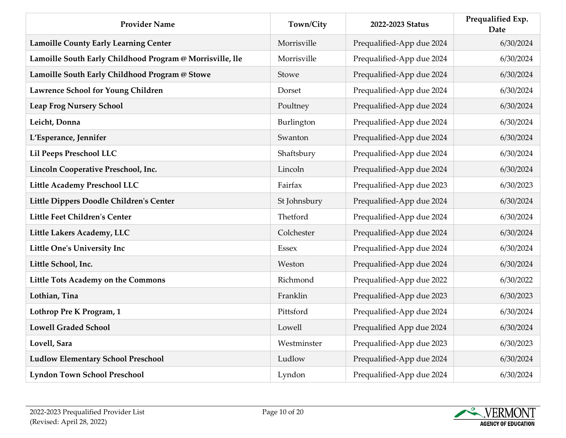| <b>Provider Name</b>                                      | Town/City    | 2022-2023 Status          | Prequalified Exp.<br><b>Date</b> |
|-----------------------------------------------------------|--------------|---------------------------|----------------------------------|
| <b>Lamoille County Early Learning Center</b>              | Morrisville  | Prequalified-App due 2024 | 6/30/2024                        |
| Lamoille South Early Childhood Program @ Morrisville, lle | Morrisville  | Prequalified-App due 2024 | 6/30/2024                        |
| Lamoille South Early Childhood Program @ Stowe            | Stowe        | Prequalified-App due 2024 | 6/30/2024                        |
| Lawrence School for Young Children                        | Dorset       | Prequalified-App due 2024 | 6/30/2024                        |
| <b>Leap Frog Nursery School</b>                           | Poultney     | Prequalified-App due 2024 | 6/30/2024                        |
| Leicht, Donna                                             | Burlington   | Prequalified-App due 2024 | 6/30/2024                        |
| L'Esperance, Jennifer                                     | Swanton      | Prequalified-App due 2024 | 6/30/2024                        |
| Lil Peeps Preschool LLC                                   | Shaftsbury   | Prequalified-App due 2024 | 6/30/2024                        |
| Lincoln Cooperative Preschool, Inc.                       | Lincoln      | Prequalified-App due 2024 | 6/30/2024                        |
| <b>Little Academy Preschool LLC</b>                       | Fairfax      | Prequalified-App due 2023 | 6/30/2023                        |
| Little Dippers Doodle Children's Center                   | St Johnsbury | Prequalified-App due 2024 | 6/30/2024                        |
| <b>Little Feet Children's Center</b>                      | Thetford     | Prequalified-App due 2024 | 6/30/2024                        |
| Little Lakers Academy, LLC                                | Colchester   | Prequalified-App due 2024 | 6/30/2024                        |
| <b>Little One's University Inc</b>                        | Essex        | Prequalified-App due 2024 | 6/30/2024                        |
| Little School, Inc.                                       | Weston       | Prequalified-App due 2024 | 6/30/2024                        |
| Little Tots Academy on the Commons                        | Richmond     | Prequalified-App due 2022 | 6/30/2022                        |
| Lothian, Tina                                             | Franklin     | Prequalified-App due 2023 | 6/30/2023                        |
| Lothrop Pre K Program, 1                                  | Pittsford    | Prequalified-App due 2024 | 6/30/2024                        |
| <b>Lowell Graded School</b>                               | Lowell       | Prequalified App due 2024 | 6/30/2024                        |
| Lovell, Sara                                              | Westminster  | Prequalified-App due 2023 | 6/30/2023                        |
| <b>Ludlow Elementary School Preschool</b>                 | Ludlow       | Prequalified-App due 2024 | 6/30/2024                        |
| <b>Lyndon Town School Preschool</b>                       | Lyndon       | Prequalified-App due 2024 | 6/30/2024                        |

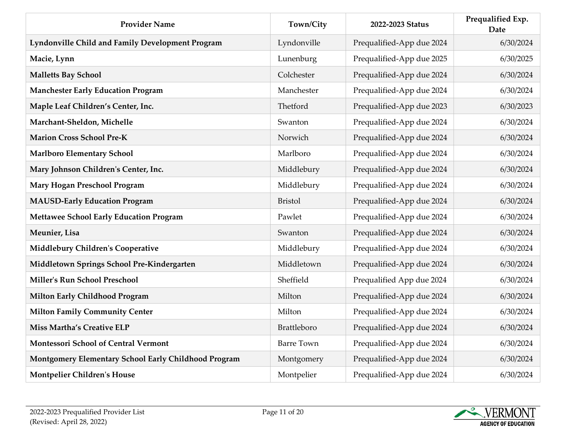| <b>Provider Name</b>                                 | Town/City         | 2022-2023 Status          | Prequalified Exp.<br>Date |
|------------------------------------------------------|-------------------|---------------------------|---------------------------|
| Lyndonville Child and Family Development Program     | Lyndonville       | Prequalified-App due 2024 | 6/30/2024                 |
| Macie, Lynn                                          | Lunenburg         | Prequalified-App due 2025 | 6/30/2025                 |
| <b>Malletts Bay School</b>                           | Colchester        | Prequalified-App due 2024 | 6/30/2024                 |
| <b>Manchester Early Education Program</b>            | Manchester        | Prequalified-App due 2024 | 6/30/2024                 |
| Maple Leaf Children's Center, Inc.                   | Thetford          | Prequalified-App due 2023 | 6/30/2023                 |
| Marchant-Sheldon, Michelle                           | Swanton           | Prequalified-App due 2024 | 6/30/2024                 |
| <b>Marion Cross School Pre-K</b>                     | Norwich           | Prequalified-App due 2024 | 6/30/2024                 |
| <b>Marlboro Elementary School</b>                    | Marlboro          | Prequalified-App due 2024 | 6/30/2024                 |
| Mary Johnson Children's Center, Inc.                 | Middlebury        | Prequalified-App due 2024 | 6/30/2024                 |
| Mary Hogan Preschool Program                         | Middlebury        | Prequalified-App due 2024 | 6/30/2024                 |
| <b>MAUSD-Early Education Program</b>                 | <b>Bristol</b>    | Prequalified-App due 2024 | 6/30/2024                 |
| <b>Mettawee School Early Education Program</b>       | Pawlet            | Prequalified-App due 2024 | 6/30/2024                 |
| Meunier, Lisa                                        | Swanton           | Prequalified-App due 2024 | 6/30/2024                 |
| Middlebury Children's Cooperative                    | Middlebury        | Prequalified-App due 2024 | 6/30/2024                 |
| Middletown Springs School Pre-Kindergarten           | Middletown        | Prequalified-App due 2024 | 6/30/2024                 |
| Miller's Run School Preschool                        | Sheffield         | Prequalified App due 2024 | 6/30/2024                 |
| Milton Early Childhood Program                       | Milton            | Prequalified-App due 2024 | 6/30/2024                 |
| <b>Milton Family Community Center</b>                | Milton            | Prequalified-App due 2024 | 6/30/2024                 |
| Miss Martha's Creative ELP                           | Brattleboro       | Prequalified-App due 2024 | 6/30/2024                 |
| <b>Montessori School of Central Vermont</b>          | <b>Barre Town</b> | Prequalified-App due 2024 | 6/30/2024                 |
| Montgomery Elementary School Early Childhood Program | Montgomery        | Prequalified-App due 2024 | 6/30/2024                 |
| <b>Montpelier Children's House</b>                   | Montpelier        | Prequalified-App due 2024 | 6/30/2024                 |

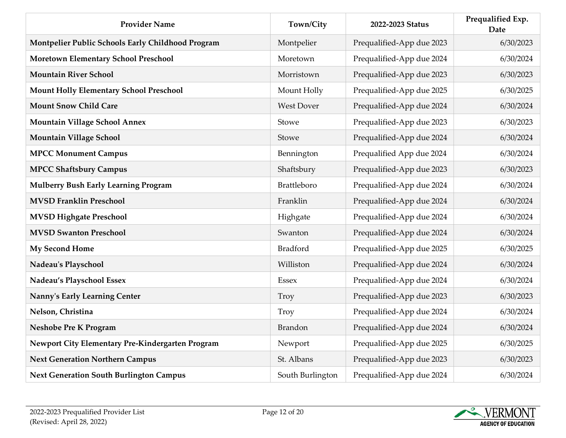| <b>Provider Name</b>                              | Town/City          | 2022-2023 Status          | Prequalified Exp.<br><b>Date</b> |
|---------------------------------------------------|--------------------|---------------------------|----------------------------------|
| Montpelier Public Schools Early Childhood Program | Montpelier         | Prequalified-App due 2023 | 6/30/2023                        |
| Moretown Elementary School Preschool              | Moretown           | Prequalified-App due 2024 | 6/30/2024                        |
| <b>Mountain River School</b>                      | Morristown         | Prequalified-App due 2023 | 6/30/2023                        |
| <b>Mount Holly Elementary School Preschool</b>    | Mount Holly        | Prequalified-App due 2025 | 6/30/2025                        |
| <b>Mount Snow Child Care</b>                      | <b>West Dover</b>  | Prequalified-App due 2024 | 6/30/2024                        |
| <b>Mountain Village School Annex</b>              | Stowe              | Prequalified-App due 2023 | 6/30/2023                        |
| <b>Mountain Village School</b>                    | Stowe              | Prequalified-App due 2024 | 6/30/2024                        |
| <b>MPCC Monument Campus</b>                       | Bennington         | Prequalified App due 2024 | 6/30/2024                        |
| <b>MPCC Shaftsbury Campus</b>                     | Shaftsbury         | Prequalified-App due 2023 | 6/30/2023                        |
| <b>Mulberry Bush Early Learning Program</b>       | <b>Brattleboro</b> | Prequalified-App due 2024 | 6/30/2024                        |
| <b>MVSD Franklin Preschool</b>                    | Franklin           | Prequalified-App due 2024 | 6/30/2024                        |
| <b>MVSD Highgate Preschool</b>                    | Highgate           | Prequalified-App due 2024 | 6/30/2024                        |
| <b>MVSD Swanton Preschool</b>                     | Swanton            | Prequalified-App due 2024 | 6/30/2024                        |
| <b>My Second Home</b>                             | Bradford           | Prequalified-App due 2025 | 6/30/2025                        |
| Nadeau's Playschool                               | Williston          | Prequalified-App due 2024 | 6/30/2024                        |
| Nadeau's Playschool Essex                         | <b>Essex</b>       | Prequalified-App due 2024 | 6/30/2024                        |
| Nanny's Early Learning Center                     | Troy               | Prequalified-App due 2023 | 6/30/2023                        |
| Nelson, Christina                                 | Troy               | Prequalified-App due 2024 | 6/30/2024                        |
| Neshobe Pre K Program                             | <b>Brandon</b>     | Prequalified-App due 2024 | 6/30/2024                        |
| Newport City Elementary Pre-Kindergarten Program  | Newport            | Prequalified-App due 2025 | 6/30/2025                        |
| <b>Next Generation Northern Campus</b>            | St. Albans         | Prequalified-App due 2023 | 6/30/2023                        |
| <b>Next Generation South Burlington Campus</b>    | South Burlington   | Prequalified-App due 2024 | 6/30/2024                        |

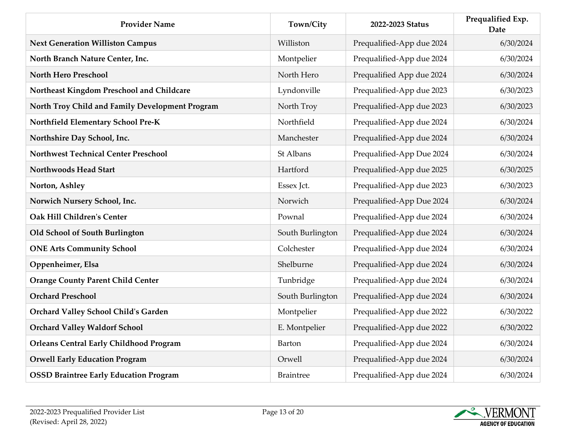| <b>Provider Name</b>                            | Town/City        | 2022-2023 Status          | Prequalified Exp.<br>Date |
|-------------------------------------------------|------------------|---------------------------|---------------------------|
| <b>Next Generation Williston Campus</b>         | Williston        | Prequalified-App due 2024 | 6/30/2024                 |
| North Branch Nature Center, Inc.                | Montpelier       | Prequalified-App due 2024 | 6/30/2024                 |
| <b>North Hero Preschool</b>                     | North Hero       | Prequalified App due 2024 | 6/30/2024                 |
| Northeast Kingdom Preschool and Childcare       | Lyndonville      | Prequalified-App due 2023 | 6/30/2023                 |
| North Troy Child and Family Development Program | North Troy       | Prequalified-App due 2023 | 6/30/2023                 |
| Northfield Elementary School Pre-K              | Northfield       | Prequalified-App due 2024 | 6/30/2024                 |
| Northshire Day School, Inc.                     | Manchester       | Prequalified-App due 2024 | 6/30/2024                 |
| <b>Northwest Technical Center Preschool</b>     | St Albans        | Prequalified-App Due 2024 | 6/30/2024                 |
| <b>Northwoods Head Start</b>                    | Hartford         | Prequalified-App due 2025 | 6/30/2025                 |
| Norton, Ashley                                  | Essex Jct.       | Prequalified-App due 2023 | 6/30/2023                 |
| Norwich Nursery School, Inc.                    | Norwich          | Prequalified-App Due 2024 | 6/30/2024                 |
| <b>Oak Hill Children's Center</b>               | Pownal           | Prequalified-App due 2024 | 6/30/2024                 |
| Old School of South Burlington                  | South Burlington | Prequalified-App due 2024 | 6/30/2024                 |
| <b>ONE Arts Community School</b>                | Colchester       | Prequalified-App due 2024 | 6/30/2024                 |
| Oppenheimer, Elsa                               | Shelburne        | Prequalified-App due 2024 | 6/30/2024                 |
| <b>Orange County Parent Child Center</b>        | Tunbridge        | Prequalified-App due 2024 | 6/30/2024                 |
| <b>Orchard Preschool</b>                        | South Burlington | Prequalified-App due 2024 | 6/30/2024                 |
| Orchard Valley School Child's Garden            | Montpelier       | Prequalified-App due 2022 | 6/30/2022                 |
| <b>Orchard Valley Waldorf School</b>            | E. Montpelier    | Prequalified-App due 2022 | 6/30/2022                 |
| <b>Orleans Central Early Childhood Program</b>  | <b>Barton</b>    | Prequalified-App due 2024 | 6/30/2024                 |
| <b>Orwell Early Education Program</b>           | Orwell           | Prequalified-App due 2024 | 6/30/2024                 |
| <b>OSSD Braintree Early Education Program</b>   | <b>Braintree</b> | Prequalified-App due 2024 | 6/30/2024                 |

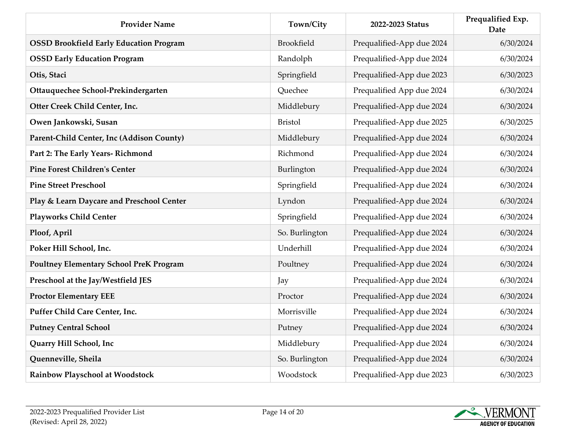| <b>Provider Name</b>                           | Town/City      | 2022-2023 Status          | Prequalified Exp.<br><b>Date</b> |
|------------------------------------------------|----------------|---------------------------|----------------------------------|
| <b>OSSD Brookfield Early Education Program</b> | Brookfield     | Prequalified-App due 2024 | 6/30/2024                        |
| <b>OSSD Early Education Program</b>            | Randolph       | Prequalified-App due 2024 | 6/30/2024                        |
| Otis, Staci                                    | Springfield    | Prequalified-App due 2023 | 6/30/2023                        |
| Ottauquechee School-Prekindergarten            | Quechee        | Prequalified App due 2024 | 6/30/2024                        |
| Otter Creek Child Center, Inc.                 | Middlebury     | Prequalified-App due 2024 | 6/30/2024                        |
| Owen Jankowski, Susan                          | <b>Bristol</b> | Prequalified-App due 2025 | 6/30/2025                        |
| Parent-Child Center, Inc (Addison County)      | Middlebury     | Prequalified-App due 2024 | 6/30/2024                        |
| Part 2: The Early Years- Richmond              | Richmond       | Prequalified-App due 2024 | 6/30/2024                        |
| <b>Pine Forest Children's Center</b>           | Burlington     | Prequalified-App due 2024 | 6/30/2024                        |
| <b>Pine Street Preschool</b>                   | Springfield    | Prequalified-App due 2024 | 6/30/2024                        |
| Play & Learn Daycare and Preschool Center      | Lyndon         | Prequalified-App due 2024 | 6/30/2024                        |
| <b>Playworks Child Center</b>                  | Springfield    | Prequalified-App due 2024 | 6/30/2024                        |
| Ploof, April                                   | So. Burlington | Prequalified-App due 2024 | 6/30/2024                        |
| Poker Hill School, Inc.                        | Underhill      | Prequalified-App due 2024 | 6/30/2024                        |
| <b>Poultney Elementary School PreK Program</b> | Poultney       | Prequalified-App due 2024 | 6/30/2024                        |
| Preschool at the Jay/Westfield JES             | Jay            | Prequalified-App due 2024 | 6/30/2024                        |
| <b>Proctor Elementary EEE</b>                  | Proctor        | Prequalified-App due 2024 | 6/30/2024                        |
| Puffer Child Care Center, Inc.                 | Morrisville    | Prequalified-App due 2024 | 6/30/2024                        |
| <b>Putney Central School</b>                   | Putney         | Prequalified-App due 2024 | 6/30/2024                        |
| Quarry Hill School, Inc                        | Middlebury     | Prequalified-App due 2024 | 6/30/2024                        |
| Quenneville, Sheila                            | So. Burlington | Prequalified-App due 2024 | 6/30/2024                        |
| Rainbow Playschool at Woodstock                | Woodstock      | Prequalified-App due 2023 | 6/30/2023                        |

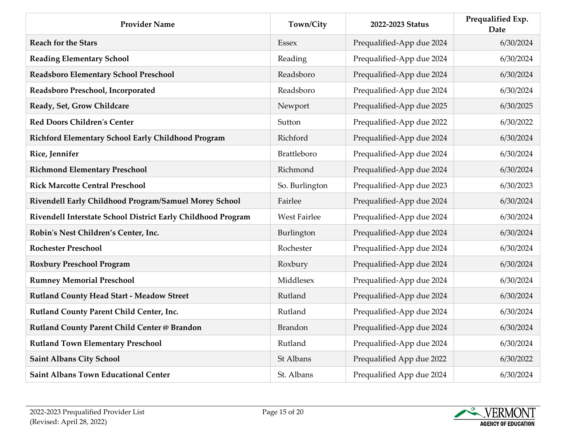| <b>Provider Name</b>                                         | Town/City           | 2022-2023 Status          | Prequalified Exp.<br><b>Date</b> |
|--------------------------------------------------------------|---------------------|---------------------------|----------------------------------|
| <b>Reach for the Stars</b>                                   | <b>Essex</b>        | Prequalified-App due 2024 | 6/30/2024                        |
| <b>Reading Elementary School</b>                             | Reading             | Prequalified-App due 2024 | 6/30/2024                        |
| Readsboro Elementary School Preschool                        | Readsboro           | Prequalified-App due 2024 | 6/30/2024                        |
| Readsboro Preschool, Incorporated                            | Readsboro           | Prequalified-App due 2024 | 6/30/2024                        |
| Ready, Set, Grow Childcare                                   | Newport             | Prequalified-App due 2025 | 6/30/2025                        |
| <b>Red Doors Children's Center</b>                           | Sutton              | Prequalified-App due 2022 | 6/30/2022                        |
| Richford Elementary School Early Childhood Program           | Richford            | Prequalified-App due 2024 | 6/30/2024                        |
| Rice, Jennifer                                               | Brattleboro         | Prequalified-App due 2024 | 6/30/2024                        |
| <b>Richmond Elementary Preschool</b>                         | Richmond            | Prequalified-App due 2024 | 6/30/2024                        |
| <b>Rick Marcotte Central Preschool</b>                       | So. Burlington      | Prequalified-App due 2023 | 6/30/2023                        |
| Rivendell Early Childhood Program/Samuel Morey School        | Fairlee             | Prequalified-App due 2024 | 6/30/2024                        |
| Rivendell Interstate School District Early Childhood Program | <b>West Fairlee</b> | Prequalified-App due 2024 | 6/30/2024                        |
| Robin's Nest Children's Center, Inc.                         | Burlington          | Prequalified-App due 2024 | 6/30/2024                        |
| <b>Rochester Preschool</b>                                   | Rochester           | Prequalified-App due 2024 | 6/30/2024                        |
| <b>Roxbury Preschool Program</b>                             | Roxbury             | Prequalified-App due 2024 | 6/30/2024                        |
| <b>Rumney Memorial Preschool</b>                             | Middlesex           | Prequalified-App due 2024 | 6/30/2024                        |
| <b>Rutland County Head Start - Meadow Street</b>             | Rutland             | Prequalified-App due 2024 | 6/30/2024                        |
| Rutland County Parent Child Center, Inc.                     | Rutland             | Prequalified-App due 2024 | 6/30/2024                        |
| Rutland County Parent Child Center @ Brandon                 | <b>Brandon</b>      | Prequalified-App due 2024 | 6/30/2024                        |
| <b>Rutland Town Elementary Preschool</b>                     | Rutland             | Prequalified-App due 2024 | 6/30/2024                        |
| <b>Saint Albans City School</b>                              | St Albans           | Prequalified App due 2022 | 6/30/2022                        |
| <b>Saint Albans Town Educational Center</b>                  | St. Albans          | Prequalified App due 2024 | 6/30/2024                        |

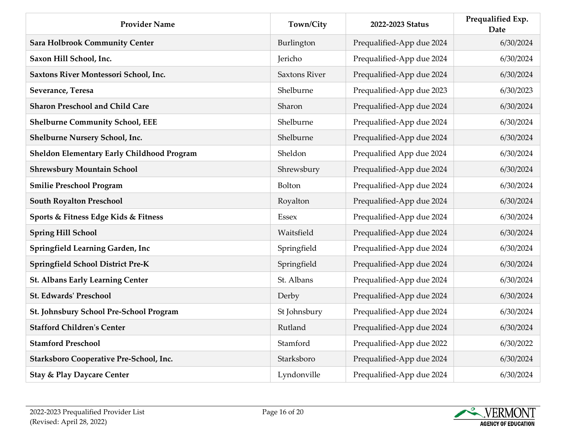| <b>Provider Name</b>                       | Town/City            | 2022-2023 Status          | Prequalified Exp.<br><b>Date</b> |
|--------------------------------------------|----------------------|---------------------------|----------------------------------|
| <b>Sara Holbrook Community Center</b>      | Burlington           | Prequalified-App due 2024 | 6/30/2024                        |
| Saxon Hill School, Inc.                    | Jericho              | Prequalified-App due 2024 | 6/30/2024                        |
| Saxtons River Montessori School, Inc.      | <b>Saxtons River</b> | Prequalified-App due 2024 | 6/30/2024                        |
| Severance, Teresa                          | Shelburne            | Prequalified-App due 2023 | 6/30/2023                        |
| <b>Sharon Preschool and Child Care</b>     | Sharon               | Prequalified-App due 2024 | 6/30/2024                        |
| <b>Shelburne Community School, EEE</b>     | Shelburne            | Prequalified-App due 2024 | 6/30/2024                        |
| Shelburne Nursery School, Inc.             | Shelburne            | Prequalified-App due 2024 | 6/30/2024                        |
| Sheldon Elementary Early Childhood Program | Sheldon              | Prequalified App due 2024 | 6/30/2024                        |
| <b>Shrewsbury Mountain School</b>          | Shrewsbury           | Prequalified-App due 2024 | 6/30/2024                        |
| <b>Smilie Preschool Program</b>            | Bolton               | Prequalified-App due 2024 | 6/30/2024                        |
| <b>South Royalton Preschool</b>            | Royalton             | Prequalified-App due 2024 | 6/30/2024                        |
| Sports & Fitness Edge Kids & Fitness       | <b>Essex</b>         | Prequalified-App due 2024 | 6/30/2024                        |
| <b>Spring Hill School</b>                  | Waitsfield           | Prequalified-App due 2024 | 6/30/2024                        |
| Springfield Learning Garden, Inc           | Springfield          | Prequalified-App due 2024 | 6/30/2024                        |
| <b>Springfield School District Pre-K</b>   | Springfield          | Prequalified-App due 2024 | 6/30/2024                        |
| <b>St. Albans Early Learning Center</b>    | St. Albans           | Prequalified-App due 2024 | 6/30/2024                        |
| <b>St. Edwards' Preschool</b>              | Derby                | Prequalified-App due 2024 | 6/30/2024                        |
| St. Johnsbury School Pre-School Program    | St Johnsbury         | Prequalified-App due 2024 | 6/30/2024                        |
| <b>Stafford Children's Center</b>          | Rutland              | Prequalified-App due 2024 | 6/30/2024                        |
| <b>Stamford Preschool</b>                  | Stamford             | Prequalified-App due 2022 | 6/30/2022                        |
| Starksboro Cooperative Pre-School, Inc.    | Starksboro           | Prequalified-App due 2024 | 6/30/2024                        |
| <b>Stay &amp; Play Daycare Center</b>      | Lyndonville          | Prequalified-App due 2024 | 6/30/2024                        |

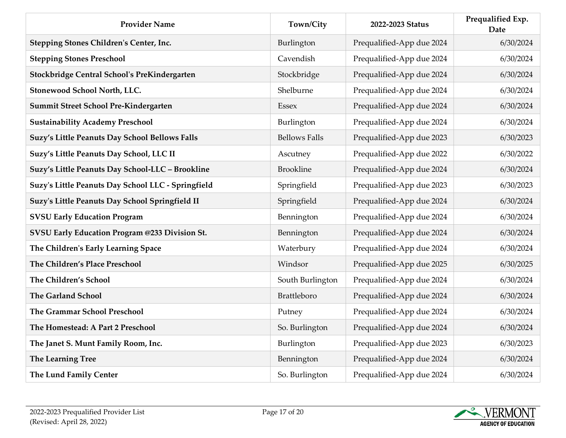| <b>Provider Name</b>                               | Town/City            | 2022-2023 Status          | Prequalified Exp.<br>Date |
|----------------------------------------------------|----------------------|---------------------------|---------------------------|
| Stepping Stones Children's Center, Inc.            | Burlington           | Prequalified-App due 2024 | 6/30/2024                 |
| <b>Stepping Stones Preschool</b>                   | Cavendish            | Prequalified-App due 2024 | 6/30/2024                 |
| Stockbridge Central School's PreKindergarten       | Stockbridge          | Prequalified-App due 2024 | 6/30/2024                 |
| Stonewood School North, LLC.                       | Shelburne            | Prequalified-App due 2024 | 6/30/2024                 |
| Summit Street School Pre-Kindergarten              | <b>Essex</b>         | Prequalified-App due 2024 | 6/30/2024                 |
| <b>Sustainability Academy Preschool</b>            | Burlington           | Prequalified-App due 2024 | 6/30/2024                 |
| Suzy's Little Peanuts Day School Bellows Falls     | <b>Bellows Falls</b> | Prequalified-App due 2023 | 6/30/2023                 |
| Suzy's Little Peanuts Day School, LLC II           | Ascutney             | Prequalified-App due 2022 | 6/30/2022                 |
| Suzy's Little Peanuts Day School-LLC - Brookline   | <b>Brookline</b>     | Prequalified-App due 2024 | 6/30/2024                 |
| Suzy's Little Peanuts Day School LLC - Springfield | Springfield          | Prequalified-App due 2023 | 6/30/2023                 |
| Suzy's Little Peanuts Day School Springfield II    | Springfield          | Prequalified-App due 2024 | 6/30/2024                 |
| <b>SVSU Early Education Program</b>                | Bennington           | Prequalified-App due 2024 | 6/30/2024                 |
| SVSU Early Education Program @233 Division St.     | Bennington           | Prequalified-App due 2024 | 6/30/2024                 |
| The Children's Early Learning Space                | Waterbury            | Prequalified-App due 2024 | 6/30/2024                 |
| The Children's Place Preschool                     | Windsor              | Prequalified-App due 2025 | 6/30/2025                 |
| The Children's School                              | South Burlington     | Prequalified-App due 2024 | 6/30/2024                 |
| <b>The Garland School</b>                          | <b>Brattleboro</b>   | Prequalified-App due 2024 | 6/30/2024                 |
| The Grammar School Preschool                       | Putney               | Prequalified-App due 2024 | 6/30/2024                 |
| The Homestead: A Part 2 Preschool                  | So. Burlington       | Prequalified-App due 2024 | 6/30/2024                 |
| The Janet S. Munt Family Room, Inc.                | Burlington           | Prequalified-App due 2023 | 6/30/2023                 |
| The Learning Tree                                  | Bennington           | Prequalified-App due 2024 | 6/30/2024                 |
| The Lund Family Center                             | So. Burlington       | Prequalified-App due 2024 | 6/30/2024                 |

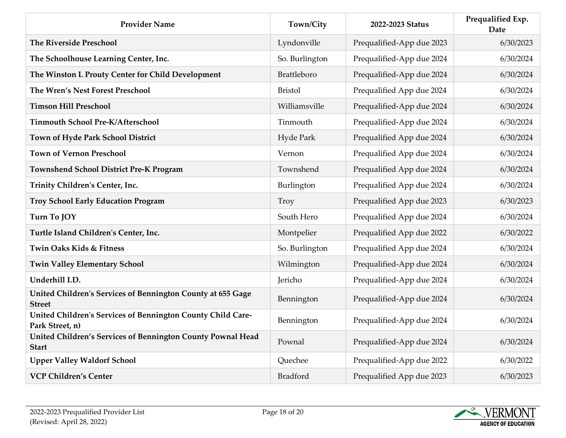| <b>Provider Name</b>                                                           | Town/City          | 2022-2023 Status          | Prequalified Exp.<br><b>Date</b> |
|--------------------------------------------------------------------------------|--------------------|---------------------------|----------------------------------|
| <b>The Riverside Preschool</b>                                                 | Lyndonville        | Prequalified-App due 2023 | 6/30/2023                        |
| The Schoolhouse Learning Center, Inc.                                          | So. Burlington     | Prequalified-App due 2024 | 6/30/2024                        |
| The Winston L Prouty Center for Child Development                              | <b>Brattleboro</b> | Prequalified-App due 2024 | 6/30/2024                        |
| The Wren's Nest Forest Preschool                                               | <b>Bristol</b>     | Prequalified App due 2024 | 6/30/2024                        |
| <b>Timson Hill Preschool</b>                                                   | Williamsville      | Prequalified-App due 2024 | 6/30/2024                        |
| <b>Tinmouth School Pre-K/Afterschool</b>                                       | Tinmouth           | Prequalified-App due 2024 | 6/30/2024                        |
| Town of Hyde Park School District                                              | Hyde Park          | Prequalified App due 2024 | 6/30/2024                        |
| <b>Town of Vernon Preschool</b>                                                | Vernon             | Prequalified App due 2024 | 6/30/2024                        |
| Townshend School District Pre-K Program                                        | Townshend          | Prequalified App due 2024 | 6/30/2024                        |
| Trinity Children's Center, Inc.                                                | Burlington         | Prequalified App due 2024 | 6/30/2024                        |
| <b>Troy School Early Education Program</b>                                     | Troy               | Prequalified App due 2023 | 6/30/2023                        |
| Turn To JOY                                                                    | South Hero         | Prequalified App due 2024 | 6/30/2024                        |
| Turtle Island Children's Center, Inc.                                          | Montpelier         | Prequalified App due 2022 | 6/30/2022                        |
| Twin Oaks Kids & Fitness                                                       | So. Burlington     | Prequalified App due 2024 | 6/30/2024                        |
| <b>Twin Valley Elementary School</b>                                           | Wilmington         | Prequalified-App due 2024 | 6/30/2024                        |
| Underhill I.D.                                                                 | Jericho            | Prequalified-App due 2024 | 6/30/2024                        |
| United Children's Services of Bennington County at 655 Gage<br><b>Street</b>   | Bennington         | Prequalified-App due 2024 | 6/30/2024                        |
| United Children's Services of Bennington County Child Care-<br>Park Street, n) | Bennington         | Prequalified-App due 2024 | 6/30/2024                        |
| United Children's Services of Bennington County Pownal Head<br><b>Start</b>    | Pownal             | Prequalified-App due 2024 | 6/30/2024                        |
| <b>Upper Valley Waldorf School</b>                                             | Quechee            | Prequalified-App due 2022 | 6/30/2022                        |
| <b>VCP Children's Center</b>                                                   | <b>Bradford</b>    | Prequalified App due 2023 | 6/30/2023                        |

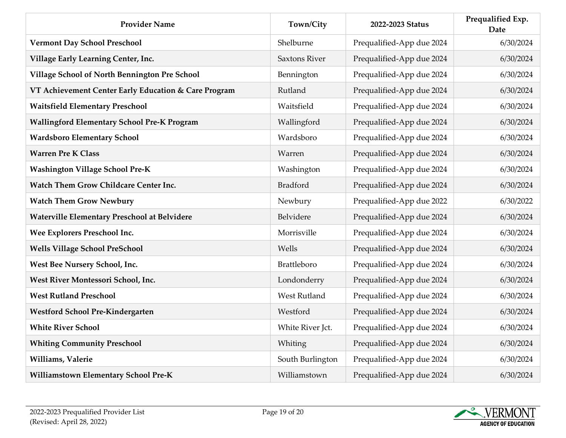| <b>Provider Name</b>                                 | Town/City            | 2022-2023 Status          | Prequalified Exp.<br>Date |
|------------------------------------------------------|----------------------|---------------------------|---------------------------|
| <b>Vermont Day School Preschool</b>                  | Shelburne            | Prequalified-App due 2024 | 6/30/2024                 |
| Village Early Learning Center, Inc.                  | <b>Saxtons River</b> | Prequalified-App due 2024 | 6/30/2024                 |
| Village School of North Bennington Pre School        | Bennington           | Prequalified-App due 2024 | 6/30/2024                 |
| VT Achievement Center Early Education & Care Program | Rutland              | Prequalified-App due 2024 | 6/30/2024                 |
| <b>Waitsfield Elementary Preschool</b>               | Waitsfield           | Prequalified-App due 2024 | 6/30/2024                 |
| <b>Wallingford Elementary School Pre-K Program</b>   | Wallingford          | Prequalified-App due 2024 | 6/30/2024                 |
| <b>Wardsboro Elementary School</b>                   | Wardsboro            | Prequalified-App due 2024 | 6/30/2024                 |
| <b>Warren Pre K Class</b>                            | Warren               | Prequalified-App due 2024 | 6/30/2024                 |
| <b>Washington Village School Pre-K</b>               | Washington           | Prequalified-App due 2024 | 6/30/2024                 |
| Watch Them Grow Childcare Center Inc.                | <b>Bradford</b>      | Prequalified-App due 2024 | 6/30/2024                 |
| <b>Watch Them Grow Newbury</b>                       | Newbury              | Prequalified-App due 2022 | 6/30/2022                 |
| Waterville Elementary Preschool at Belvidere         | Belvidere            | Prequalified-App due 2024 | 6/30/2024                 |
| Wee Explorers Preschool Inc.                         | Morrisville          | Prequalified-App due 2024 | 6/30/2024                 |
| <b>Wells Village School PreSchool</b>                | Wells                | Prequalified-App due 2024 | 6/30/2024                 |
| West Bee Nursery School, Inc.                        | Brattleboro          | Prequalified-App due 2024 | 6/30/2024                 |
| West River Montessori School, Inc.                   | Londonderry          | Prequalified-App due 2024 | 6/30/2024                 |
| <b>West Rutland Preschool</b>                        | <b>West Rutland</b>  | Prequalified-App due 2024 | 6/30/2024                 |
| <b>Westford School Pre-Kindergarten</b>              | Westford             | Prequalified-App due 2024 | 6/30/2024                 |
| <b>White River School</b>                            | White River Jct.     | Prequalified-App due 2024 | 6/30/2024                 |
| <b>Whiting Community Preschool</b>                   | Whiting              | Prequalified-App due 2024 | 6/30/2024                 |
| Williams, Valerie                                    | South Burlington     | Prequalified-App due 2024 | 6/30/2024                 |
| Williamstown Elementary School Pre-K                 | Williamstown         | Prequalified-App due 2024 | 6/30/2024                 |